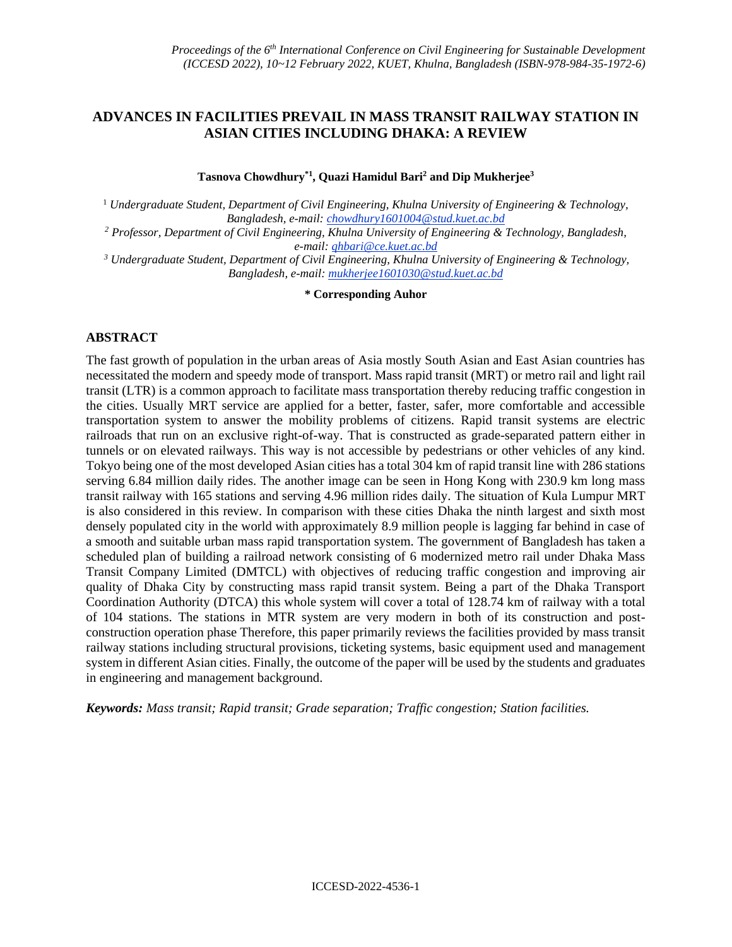## **ADVANCES IN FACILITIES PREVAIL IN MASS TRANSIT RAILWAY STATION IN ASIAN CITIES INCLUDING DHAKA: A REVIEW**

**Tasnova Chowdhury\*1, Quazi Hamidul Bari<sup>2</sup> and Dip Mukherjee<sup>3</sup>**

<sup>1</sup> *Undergraduate Student, Department of Civil Engineering, Khulna University of Engineering & Technology, Bangladesh, e-mail: chowdhury1601004@stud.kuet.ac.bd*

*<sup>2</sup> Professor, Department of Civil Engineering, Khulna University of Engineering & Technology, Bangladesh, e-mail: qhbari@ce.kuet.ac.bd*

*<sup>3</sup> Undergraduate Student, Department of Civil Engineering, Khulna University of Engineering & Technology, Bangladesh, e-mail: mukherjee1601030@stud.kuet.ac.bd*

**\* Corresponding Auhor**

### **ABSTRACT**

The fast growth of population in the urban areas of Asia mostly South Asian and East Asian countries has necessitated the modern and speedy mode of transport. Mass rapid transit (MRT) or metro rail and light rail transit (LTR) is a common approach to facilitate mass transportation thereby reducing traffic congestion in the cities. Usually MRT service are applied for a better, faster, safer, more comfortable and accessible transportation system to answer the mobility problems of citizens. Rapid transit systems are electric railroads that run on an exclusive right-of-way. That is constructed as grade-separated pattern either in tunnels or on elevated railways. This way is not accessible by pedestrians or other vehicles of any kind. Tokyo being one of the most developed Asian cities has a total 304 km of rapid transit line with 286 stations serving 6.84 million daily rides. The another image can be seen in Hong Kong with 230.9 km long mass transit railway with 165 stations and serving 4.96 million rides daily. The situation of Kula Lumpur MRT is also considered in this review. In comparison with these cities Dhaka the ninth largest and sixth most densely populated city in the world with approximately 8.9 million people is lagging far behind in case of a smooth and suitable urban mass rapid transportation system. The government of Bangladesh has taken a scheduled plan of building a railroad network consisting of 6 modernized metro rail under Dhaka Mass Transit Company Limited (DMTCL) with objectives of reducing traffic congestion and improving air quality of Dhaka City by constructing mass rapid transit system. Being a part of the Dhaka Transport Coordination Authority (DTCA) this whole system will cover a total of 128.74 km of railway with a total of 104 stations. The stations in MTR system are very modern in both of its construction and postconstruction operation phase Therefore, this paper primarily reviews the facilities provided by mass transit railway stations including structural provisions, ticketing systems, basic equipment used and management system in different Asian cities. Finally, the outcome of the paper will be used by the students and graduates in engineering and management background.

*Keywords: Mass transit; Rapid transit; Grade separation; Traffic congestion; Station facilities.*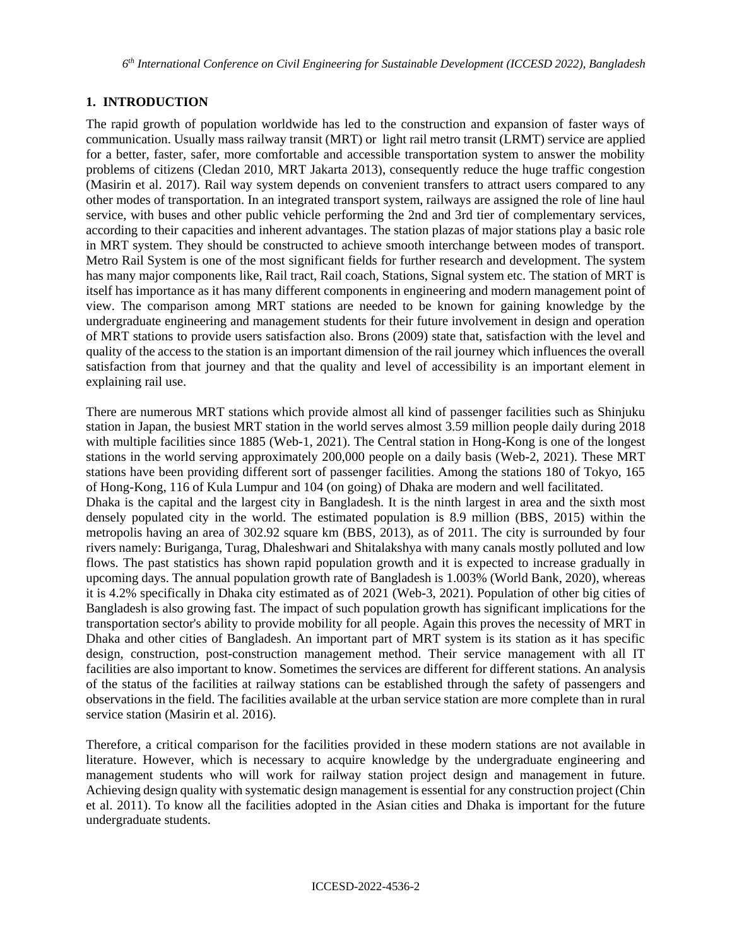## **1. INTRODUCTION**

The rapid growth of population worldwide has led to the construction and expansion of faster ways of communication. Usually mass railway transit (MRT) or light rail metro transit (LRMT) service are applied for a better, faster, safer, more comfortable and accessible transportation system to answer the mobility problems of citizens (Cledan 2010, MRT Jakarta 2013), consequently reduce the huge traffic congestion (Masirin et al. 2017). Rail way system depends on convenient transfers to attract users compared to any other modes of transportation. In an integrated transport system, railways are assigned the role of line haul service, with buses and other public vehicle performing the 2nd and 3rd tier of complementary services, according to their capacities and inherent advantages. The station plazas of major stations play a basic role in MRT system. They should be constructed to achieve smooth interchange between modes of transport. Metro Rail System is one of the most significant fields for further research and development. The system has many major components like, Rail tract, Rail coach, Stations, Signal system etc. The station of MRT is itself has importance as it has many different components in engineering and modern management point of view. The comparison among MRT stations are needed to be known for gaining knowledge by the undergraduate engineering and management students for their future involvement in design and operation of MRT stations to provide users satisfaction also. Brons (2009) state that, satisfaction with the level and quality of the access to the station is an important dimension of the rail journey which influences the overall satisfaction from that journey and that the quality and level of accessibility is an important element in explaining rail use.

There are numerous MRT stations which provide almost all kind of passenger facilities such as Shinjuku station in Japan, the busiest MRT station in the world serves almost 3.59 million people daily during 2018 with multiple facilities since 1885 (Web-1, 2021). The Central station in Hong-Kong is one of the longest stations in the world serving approximately 200,000 people on a daily basis (Web-2, 2021). These MRT stations have been providing different sort of passenger facilities. Among the stations 180 of Tokyo, 165 of Hong-Kong, 116 of Kula Lumpur and 104 (on going) of Dhaka are modern and well facilitated. Dhaka is the capital and the largest city in Bangladesh. It is the ninth largest in area and the sixth most densely populated city in the world. The estimated population is 8.9 million (BBS, 2015) within the metropolis having an area of 302.92 square km (BBS, 2013), as of 2011. The city is surrounded by four rivers namely: Buriganga, Turag, Dhaleshwari and Shitalakshya with many canals mostly polluted and low flows. The past statistics has shown rapid population growth and it is expected to increase gradually in upcoming days. The annual population growth rate of Bangladesh is 1.003% (World Bank, 2020), whereas it is 4.2% specifically in Dhaka city estimated as of 2021 (Web-3, 2021). Population of other big cities of Bangladesh is also growing fast. The impact of such population growth has significant implications for the transportation sector's ability to provide mobility for all people. Again this proves the necessity of MRT in Dhaka and other cities of Bangladesh. An important part of MRT system is its station as it has specific design, construction, post-construction management method. Their service management with all IT facilities are also important to know. Sometimes the services are different for different stations. An analysis of the status of the facilities at railway stations can be established through the safety of passengers and observations in the field. The facilities available at the urban service station are more complete than in rural service station (Masirin et al. 2016).

Therefore, a critical comparison for the facilities provided in these modern stations are not available in literature. However, which is necessary to acquire knowledge by the undergraduate engineering and management students who will work for railway station project design and management in future. Achieving design quality with systematic design management is essential for any construction project (Chin et al. 2011). To know all the facilities adopted in the Asian cities and Dhaka is important for the future undergraduate students.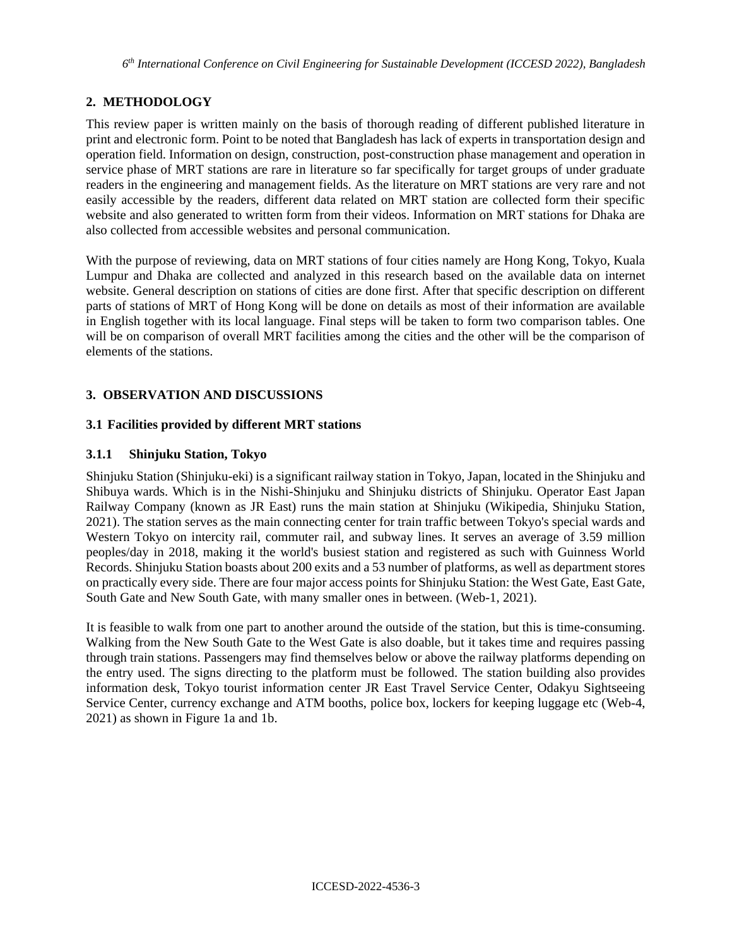## **2. METHODOLOGY**

This review paper is written mainly on the basis of thorough reading of different published literature in print and electronic form. Point to be noted that Bangladesh has lack of experts in transportation design and operation field. Information on design, construction, post-construction phase management and operation in service phase of MRT stations are rare in literature so far specifically for target groups of under graduate readers in the engineering and management fields. As the literature on MRT stations are very rare and not easily accessible by the readers, different data related on MRT station are collected form their specific website and also generated to written form from their videos. Information on MRT stations for Dhaka are also collected from accessible websites and personal communication.

With the purpose of reviewing, data on MRT stations of four cities namely are Hong Kong, Tokyo, Kuala Lumpur and Dhaka are collected and analyzed in this research based on the available data on internet website. General description on stations of cities are done first. After that specific description on different parts of stations of MRT of Hong Kong will be done on details as most of their information are available in English together with its local language. Final steps will be taken to form two comparison tables. One will be on comparison of overall MRT facilities among the cities and the other will be the comparison of elements of the stations.

## **3. OBSERVATION AND DISCUSSIONS**

### **3.1 Facilities provided by different MRT stations**

### **3.1.1 Shinjuku Station, Tokyo**

Shinjuku Station (Shinjuku-eki) is a significant railway station in Tokyo, Japan, located in the Shinjuku and Shibuya wards. Which is in the Nishi-Shinjuku and Shinjuku districts of Shinjuku. Operator East Japan Railway Company (known as JR East) runs the main station at Shinjuku (Wikipedia, Shinjuku Station, 2021). The station serves as the main connecting center for train traffic between Tokyo's special wards and Western Tokyo on intercity rail, commuter rail, and subway lines. It serves an average of 3.59 million peoples/day in 2018, making it the world's busiest station and registered as such with Guinness World Records. Shinjuku Station boasts about 200 exits and a 53 number of platforms, as well as department stores on practically every side. There are four major access points for Shinjuku Station: the West Gate, East Gate, South Gate and New South Gate, with many smaller ones in between. (Web-1, 2021).

It is feasible to walk from one part to another around the outside of the station, but this is time-consuming. Walking from the New South Gate to the West Gate is also doable, but it takes time and requires passing through train stations. Passengers may find themselves below or above the railway platforms depending on the entry used. The signs directing to the platform must be followed. The station building also provides information desk, Tokyo tourist information center JR East Travel Service Center, Odakyu Sightseeing Service Center, currency exchange and ATM booths, police box, lockers for keeping luggage etc (Web-4, 2021) as shown in Figure 1a and 1b.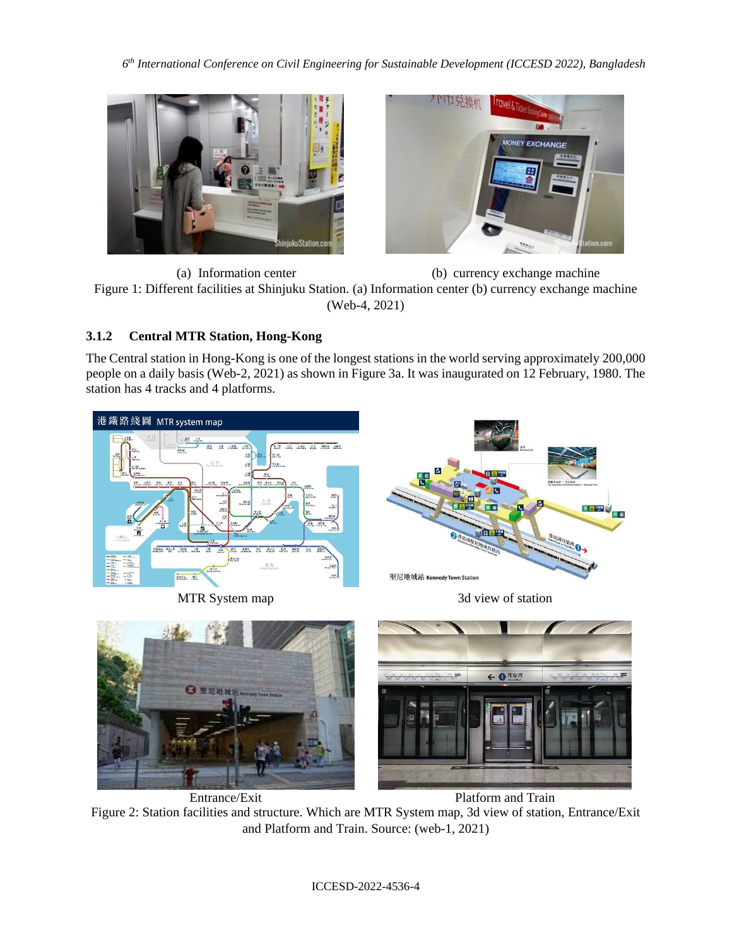



(a) Information center (b) currency exchange machine Figure 1: Different facilities at Shinjuku Station. (a) Information center (b) currency exchange machine (Web-4, 2021)

# **3.1.2 Central MTR Station, Hong-Kong**

The Central station in Hong-Kong is one of the longest stations in the world serving approximately 200,000 people on a daily basis (Web-2, 2021) as shown in Figure 3a. It was inaugurated on 12 February, 1980. The station has 4 tracks and 4 platforms.



Entrance/Exit Platform and Train

Figure 2: Station facilities and structure. Which are MTR System map, 3d view of station, Entrance/Exit and Platform and Train. Source: (web-1, 2021)

ICCESD-2022-4536-4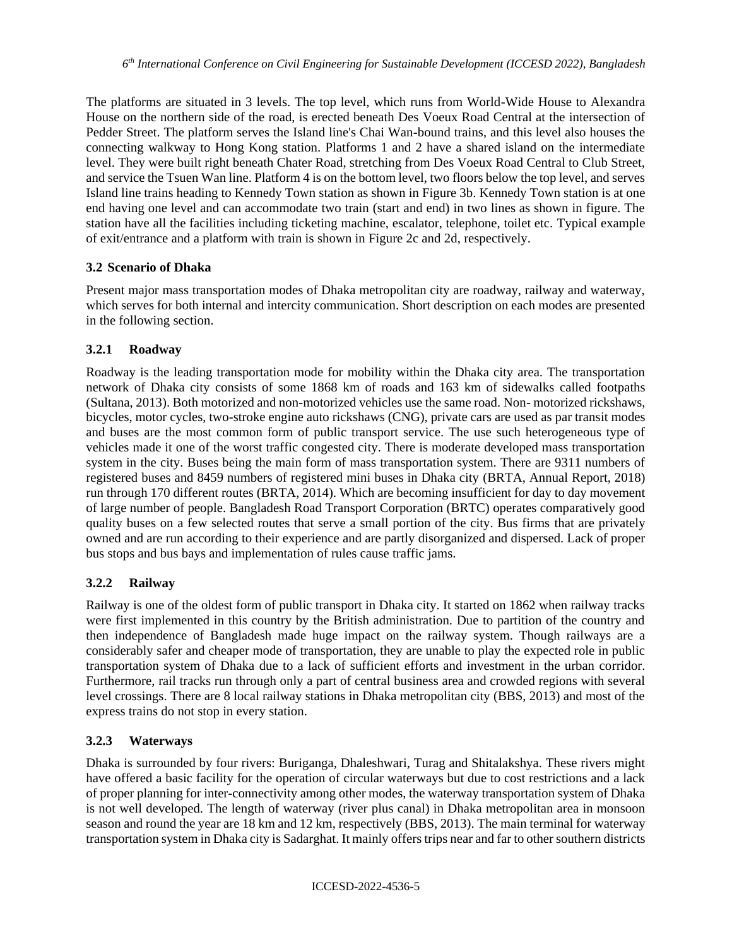The platforms are situated in 3 levels. The top level, which runs from World-Wide House to Alexandra House on the northern side of the road, is erected beneath Des Voeux Road Central at the intersection of Pedder Street. The platform serves the Island line's Chai Wan-bound trains, and this level also houses the connecting walkway to Hong Kong station. Platforms 1 and 2 have a shared island on the intermediate level. They were built right beneath Chater Road, stretching from Des Voeux Road Central to Club Street, and service the Tsuen Wan line. Platform 4 is on the bottom level, two floors below the top level, and serves Island line trains heading to Kennedy Town station as shown in Figure 3b. Kennedy Town station is at one end having one level and can accommodate two train (start and end) in two lines as shown in figure. The station have all the facilities including ticketing machine, escalator, telephone, toilet etc. Typical example of exit/entrance and a platform with train is shown in Figure 2c and 2d, respectively.

## **3.2 Scenario of Dhaka**

Present major mass transportation modes of Dhaka metropolitan city are roadway, railway and waterway, which serves for both internal and intercity communication. Short description on each modes are presented in the following section.

## **3.2.1 Roadway**

Roadway is the leading transportation mode for mobility within the Dhaka city area. The transportation network of Dhaka city consists of some 1868 km of roads and 163 km of sidewalks called footpaths (Sultana, 2013). Both motorized and non-motorized vehicles use the same road. Non- motorized rickshaws, bicycles, motor cycles, two-stroke engine auto rickshaws (CNG), private cars are used as par transit modes and buses are the most common form of public transport service. The use such heterogeneous type of vehicles made it one of the worst traffic congested city. There is moderate developed mass transportation system in the city. Buses being the main form of mass transportation system. There are 9311 numbers of registered buses and 8459 numbers of registered mini buses in Dhaka city (BRTA, Annual Report, 2018) run through 170 different routes (BRTA, 2014). Which are becoming insufficient for day to day movement of large number of people. Bangladesh Road Transport Corporation (BRTC) operates comparatively good quality buses on a few selected routes that serve a small portion of the city. Bus firms that are privately owned and are run according to their experience and are partly disorganized and dispersed. Lack of proper bus stops and bus bays and implementation of rules cause traffic jams.

# **3.2.2 Railway**

Railway is one of the oldest form of public transport in Dhaka city. It started on 1862 when railway tracks were first implemented in this country by the British administration. Due to partition of the country and then independence of Bangladesh made huge impact on the railway system. Though railways are a considerably safer and cheaper mode of transportation, they are unable to play the expected role in public transportation system of Dhaka due to a lack of sufficient efforts and investment in the urban corridor. Furthermore, rail tracks run through only a part of central business area and crowded regions with several level crossings. There are 8 local railway stations in Dhaka metropolitan city (BBS, 2013) and most of the express trains do not stop in every station.

## **3.2.3 Waterways**

Dhaka is surrounded by four rivers: Buriganga, Dhaleshwari, Turag and Shitalakshya. These rivers might have offered a basic facility for the operation of circular waterways but due to cost restrictions and a lack of proper planning for inter-connectivity among other modes, the waterway transportation system of Dhaka is not well developed. The length of waterway (river plus canal) in Dhaka metropolitan area in monsoon season and round the year are 18 km and 12 km, respectively (BBS, 2013). The main terminal for waterway transportation system in Dhaka city is Sadarghat. It mainly offers trips near and far to other southern districts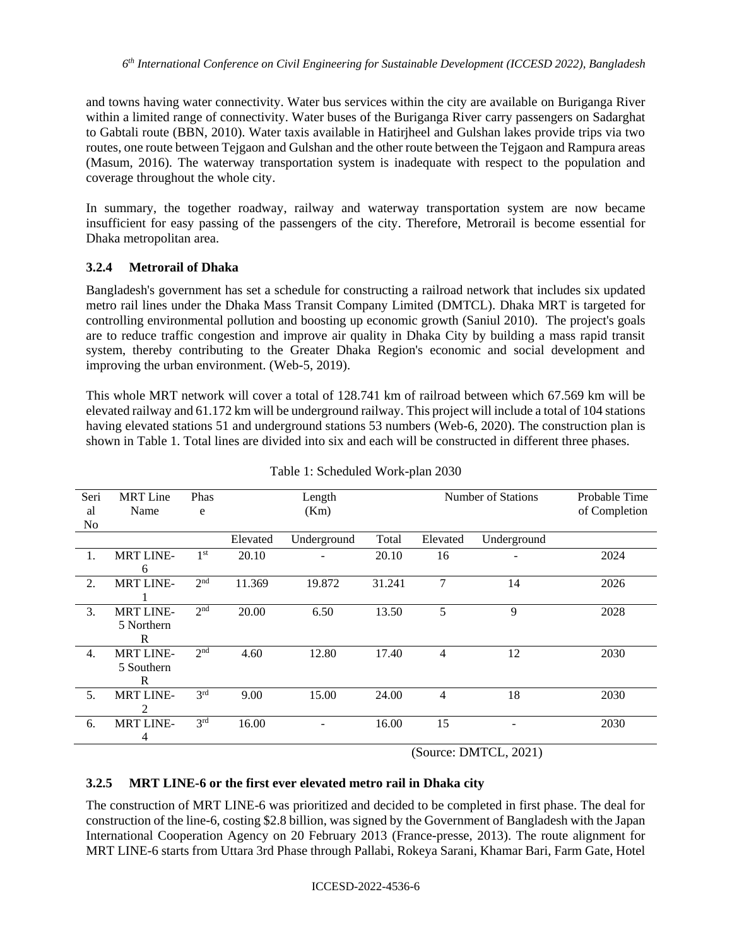and towns having water connectivity. Water bus services within the city are available on Buriganga River within a limited range of connectivity. Water buses of the Buriganga River carry passengers on Sadarghat to Gabtali route (BBN, 2010). Water taxis available in Hatirjheel and Gulshan lakes provide trips via two routes, one route between Tejgaon and Gulshan and the other route between the Tejgaon and Rampura areas (Masum, 2016). The waterway transportation system is inadequate with respect to the population and coverage throughout the whole city.

In summary, the together roadway, railway and waterway transportation system are now became insufficient for easy passing of the passengers of the city. Therefore, Metrorail is become essential for Dhaka metropolitan area.

## **3.2.4 Metrorail of Dhaka**

Bangladesh's government has set a schedule for constructing a railroad network that includes six updated metro rail lines under the Dhaka Mass Transit Company Limited (DMTCL). Dhaka MRT is targeted for controlling environmental pollution and boosting up economic growth (Saniul 2010). The project's goals are to reduce traffic congestion and improve air quality in Dhaka City by building a mass rapid transit system, thereby contributing to the Greater Dhaka Region's economic and social development and improving the urban environment. (Web-5, 2019).

This whole MRT network will cover a total of 128.741 km of railroad between which 67.569 km will be elevated railway and 61.172 km will be underground railway. This project will include a total of 104 stations having elevated stations 51 and underground stations 53 numbers (Web-6, 2020). The construction plan is shown in Table 1. Total lines are divided into six and each will be constructed in different three phases.

| Seri<br>al | <b>MRT</b> Line<br>Name | Phas<br>e       | Length<br>(Km) |             | Number of Stations |          | Probable Time<br>of Completion |      |
|------------|-------------------------|-----------------|----------------|-------------|--------------------|----------|--------------------------------|------|
| No         |                         |                 |                |             |                    |          |                                |      |
|            |                         |                 | Elevated       | Underground | Total              | Elevated | Underground                    |      |
| 1.         | <b>MRT LINE-</b>        | 1 <sup>st</sup> | 20.10          |             | 20.10              | 16       |                                | 2024 |
|            | 6                       |                 |                |             |                    |          |                                |      |
| 2.         | <b>MRT LINE-</b>        | 2 <sup>nd</sup> | 11.369         | 19.872      | 31.241             | 7        | 14                             | 2026 |
|            |                         |                 |                |             |                    |          |                                |      |
| 3.         | <b>MRT LINE-</b>        | 2 <sub>nd</sub> | 20.00          | 6.50        | 13.50              | 5        | 9                              | 2028 |
|            | 5 Northern              |                 |                |             |                    |          |                                |      |
|            | R                       |                 |                |             |                    |          |                                |      |
| 4.         | <b>MRT LINE-</b>        | 2 <sub>nd</sub> | 4.60           | 12.80       | 17.40              | 4        | 12                             | 2030 |
|            | 5 Southern              |                 |                |             |                    |          |                                |      |
|            | R                       |                 |                |             |                    |          |                                |      |
| 5.         | <b>MRT LINE-</b>        | 3 <sup>rd</sup> | 9.00           | 15.00       | 24.00              | 4        | 18                             | 2030 |
|            | 2                       |                 |                |             |                    |          |                                |      |
| 6.         | <b>MRT LINE-</b>        | 3 <sup>rd</sup> | 16.00          |             | 16.00              | 15       |                                | 2030 |
|            | 4                       |                 |                |             |                    |          |                                |      |

(Source: DMTCL, 2021)

## **3.2.5 MRT LINE-6 or the first ever elevated metro rail in Dhaka city**

The construction of MRT LINE-6 was prioritized and decided to be completed in first phase. The deal for construction of the line-6, costing \$2.8 billion, was signed by the Government of Bangladesh with the Japan International Cooperation Agency on 20 February 2013 (France-presse, 2013). The route alignment for MRT LINE-6 starts from Uttara 3rd Phase through Pallabi, Rokeya Sarani, Khamar Bari, Farm Gate, Hotel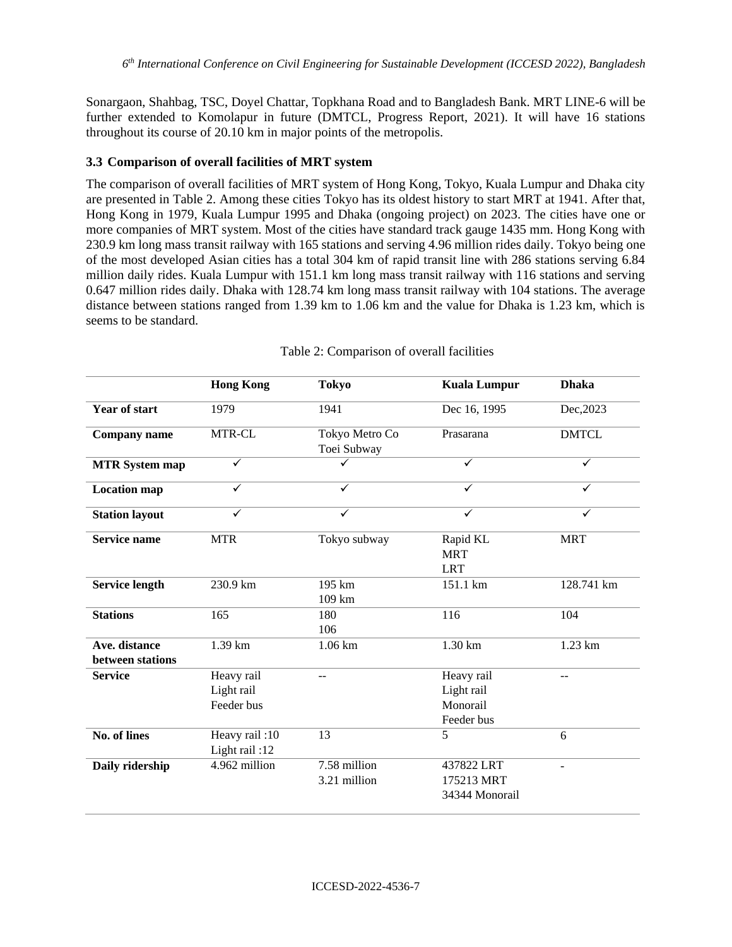Sonargaon, Shahbag, TSC, Doyel Chattar, Topkhana Road and to Bangladesh Bank. MRT LINE-6 will be further extended to Komolapur in future (DMTCL, Progress Report, 2021). It will have 16 stations throughout its course of 20.10 km in major points of the metropolis.

### **3.3 Comparison of overall facilities of MRT system**

The comparison of overall facilities of MRT system of Hong Kong, Tokyo, Kuala Lumpur and Dhaka city are presented in Table 2. Among these cities Tokyo has its oldest history to start MRT at 1941. After that, Hong Kong in 1979, Kuala Lumpur 1995 and Dhaka (ongoing project) on 2023. The cities have one or more companies of MRT system. Most of the cities have standard track gauge 1435 mm. Hong Kong with 230.9 km long mass transit railway with 165 stations and serving 4.96 million rides daily. Tokyo being one of the most developed Asian cities has a total 304 km of rapid transit line with 286 stations serving 6.84 million daily rides. Kuala Lumpur with 151.1 km long mass transit railway with 116 stations and serving 0.647 million rides daily. Dhaka with 128.74 km long mass transit railway with 104 stations. The average distance between stations ranged from 1.39 km to 1.06 km and the value for Dhaka is 1.23 km, which is seems to be standard.

|                                   | <b>Hong Kong</b>                       | <b>Tokyo</b>                  | <b>Kuala Lumpur</b>                                | <b>Dhaka</b> |  |
|-----------------------------------|----------------------------------------|-------------------------------|----------------------------------------------------|--------------|--|
| <b>Year of start</b>              | 1979                                   | 1941                          | Dec 16, 1995                                       | Dec, 2023    |  |
| <b>Company name</b>               | MTR-CL                                 | Tokyo Metro Co<br>Toei Subway | Prasarana                                          | <b>DMTCL</b> |  |
| <b>MTR System map</b>             | $\checkmark$                           | ╱                             | $\checkmark$                                       | ✓            |  |
| <b>Location map</b>               | $\checkmark$                           | ✓                             | $\checkmark$                                       | $\checkmark$ |  |
| <b>Station layout</b>             | $\checkmark$                           | $\checkmark$                  | $\checkmark$                                       | $\checkmark$ |  |
| <b>Service name</b>               | <b>MTR</b>                             | Tokyo subway                  | Rapid KL<br><b>MRT</b><br><b>LRT</b>               | <b>MRT</b>   |  |
| <b>Service length</b>             | 230.9 km                               | 195 km<br>109 km              | 151.1 km                                           | 128.741 km   |  |
| <b>Stations</b>                   | 165                                    | 180<br>106                    | 116                                                | 104          |  |
| Ave. distance<br>between stations | $1.39 \text{ km}$                      | $1.06 \mathrm{km}$            | $1.30 \mathrm{km}$                                 | 1.23 km      |  |
| <b>Service</b>                    | Heavy rail<br>Light rail<br>Feeder bus | $-$                           | Heavy rail<br>Light rail<br>Monorail<br>Feeder bus | $-$          |  |
| <b>No. of lines</b>               | Heavy rail: 10<br>Light rail:12        | 13                            | 5                                                  | 6            |  |
| Daily ridership                   | 4.962 million                          | 7.58 million<br>3.21 million  | 437822 LRT<br>175213 MRT<br>34344 Monorail         |              |  |

Table 2: Comparison of overall facilities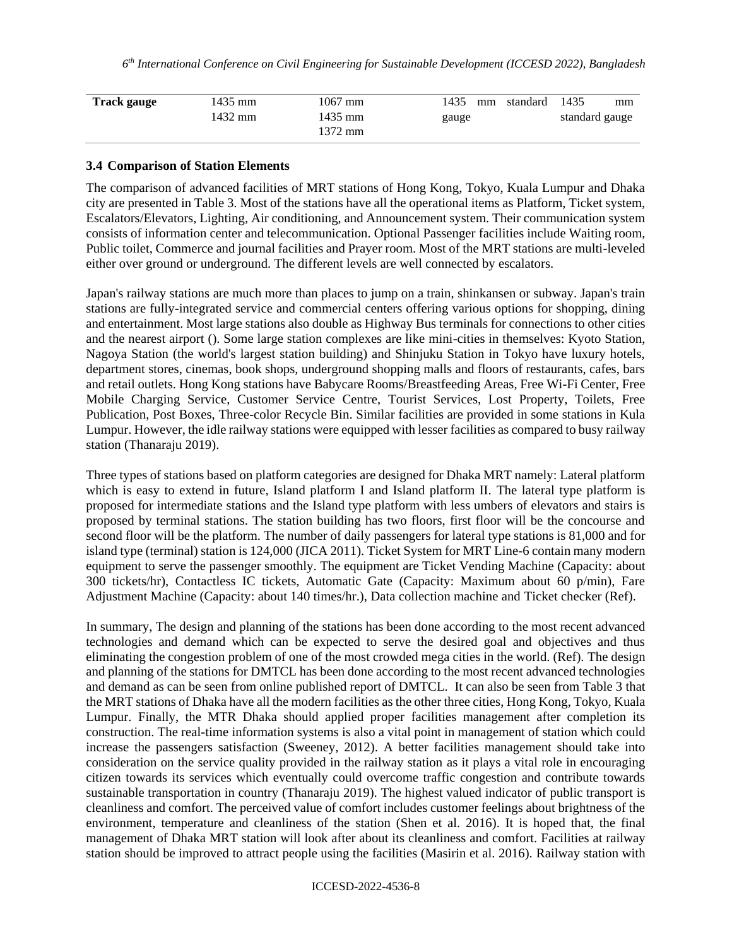| 1435<br>standard<br>mm<br>mm | 1435 | $1067$ mm | 1435 mm | <b>Track gauge</b> |
|------------------------------|------|-----------|---------|--------------------|
| standard gauge<br>gauge      |      | 1435 mm   | 1432 mm |                    |
|                              |      | 1372 mm   |         |                    |

### **3.4 Comparison of Station Elements**

The comparison of advanced facilities of MRT stations of Hong Kong, Tokyo, Kuala Lumpur and Dhaka city are presented in Table 3. Most of the stations have all the operational items as Platform, Ticket system, Escalators/Elevators, Lighting, Air conditioning, and Announcement system. Their communication system consists of information center and telecommunication. Optional Passenger facilities include Waiting room, Public toilet, Commerce and journal facilities and Prayer room. Most of the MRT stations are multi-leveled either over ground or underground. The different levels are well connected by escalators.

Japan's railway stations are much more than places to jump on a train, shinkansen or subway. Japan's train stations are fully-integrated service and commercial centers offering various options for shopping, dining and entertainment. Most large stations also double as Highway Bus terminals for connections to other cities and the nearest airport (). Some large station complexes are like mini-cities in themselves: Kyoto Station, Nagoya Station (the world's largest station building) and Shinjuku Station in Tokyo have luxury hotels, department stores, cinemas, book shops, underground shopping malls and floors of restaurants, cafes, bars and retail outlets. Hong Kong stations have Babycare Rooms/Breastfeeding Areas, Free Wi-Fi Center, Free Mobile Charging Service, Customer Service Centre, Tourist Services, Lost Property, Toilets, Free Publication, Post Boxes, Three-color Recycle Bin. Similar facilities are provided in some stations in Kula Lumpur. However, the idle railway stations were equipped with lesser facilities as compared to busy railway station (Thanaraju 2019).

Three types of stations based on platform categories are designed for Dhaka MRT namely: Lateral platform which is easy to extend in future, Island platform I and Island platform II. The lateral type platform is proposed for intermediate stations and the Island type platform with less umbers of elevators and stairs is proposed by terminal stations. The station building has two floors, first floor will be the concourse and second floor will be the platform. The number of daily passengers for lateral type stations is 81,000 and for island type (terminal) station is 124,000 (JICA 2011). Ticket System for MRT Line-6 contain many modern equipment to serve the passenger smoothly. The equipment are Ticket Vending Machine (Capacity: about 300 tickets/hr), Contactless IC tickets, Automatic Gate (Capacity: Maximum about 60 p/min), Fare Adjustment Machine (Capacity: about 140 times/hr.), Data collection machine and Ticket checker (Ref).

In summary, The design and planning of the stations has been done according to the most recent advanced technologies and demand which can be expected to serve the desired goal and objectives and thus eliminating the congestion problem of one of the most crowded mega cities in the world. (Ref). The design and planning of the stations for DMTCL has been done according to the most recent advanced technologies and demand as can be seen from online published report of DMTCL. It can also be seen from Table 3 that the MRT stations of Dhaka have all the modern facilities as the other three cities, Hong Kong, Tokyo, Kuala Lumpur. Finally, the MTR Dhaka should applied proper facilities management after completion its construction. The real-time information systems is also a vital point in management of station which could increase the passengers satisfaction (Sweeney, 2012). A better facilities management should take into consideration on the service quality provided in the railway station as it plays a vital role in encouraging citizen towards its services which eventually could overcome traffic congestion and contribute towards sustainable transportation in country (Thanaraju 2019). The highest valued indicator of public transport is cleanliness and comfort. The perceived value of comfort includes customer feelings about brightness of the environment, temperature and cleanliness of the station (Shen et al. 2016). It is hoped that, the final management of Dhaka MRT station will look after about its cleanliness and comfort. Facilities at railway station should be improved to attract people using the facilities (Masirin et al. 2016). Railway station with

#### ICCESD-2022-4536-8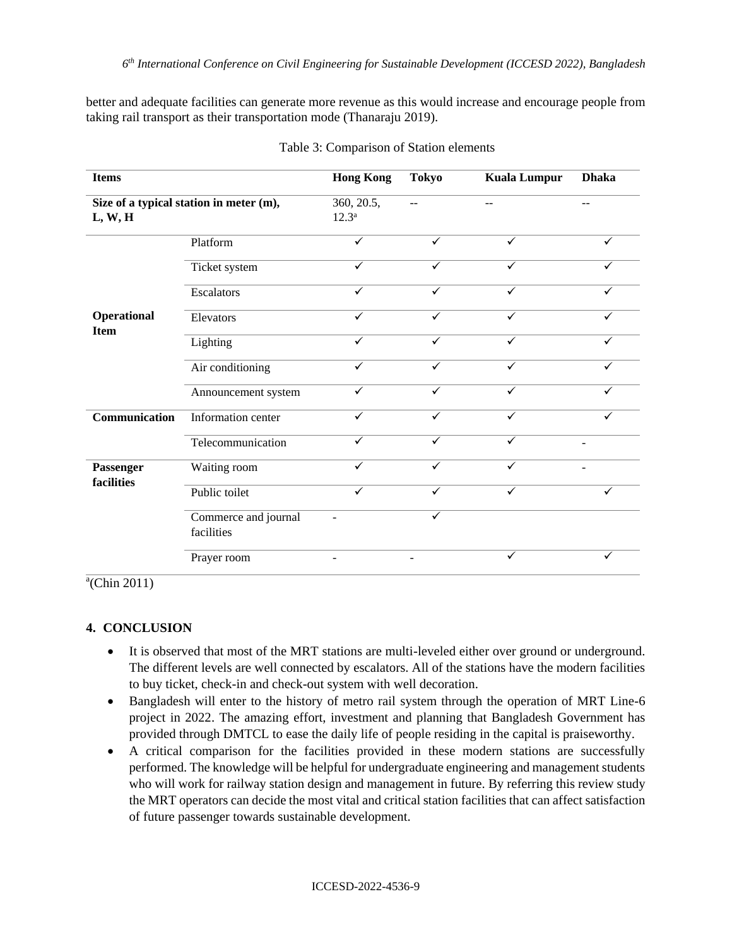better and adequate facilities can generate more revenue as this would increase and encourage people from taking rail transport as their transportation mode (Thanaraju 2019).

| <b>Items</b>                                       |                                    | <b>Hong Kong</b>         | <b>Tokyo</b> | <b>Kuala Lumpur</b> | <b>Dhaka</b>   |
|----------------------------------------------------|------------------------------------|--------------------------|--------------|---------------------|----------------|
| Size of a typical station in meter (m),<br>L, W, H |                                    | 360, 20.5,<br>$12.3^a$   | $-$          | ۵.                  | ۵.             |
|                                                    | Platform                           | ✓                        | $\checkmark$ | $\checkmark$        | $\checkmark$   |
|                                                    | Ticket system                      | ✓                        | $\checkmark$ | ✓                   | ✓              |
|                                                    | <b>Escalators</b>                  | ✓                        | $\checkmark$ | $\checkmark$        | ✓              |
| <b>Operational</b>                                 | Elevators                          | ✓                        | ✓            | ✓                   |                |
| <b>Item</b>                                        | Lighting                           | $\checkmark$             | $\checkmark$ | $\checkmark$        | ✓              |
|                                                    | Air conditioning                   | ✓                        | $\checkmark$ | ✓                   | $\checkmark$   |
|                                                    | Announcement system                | ✓                        | $\checkmark$ | $\checkmark$        | ✓              |
| Communication                                      | Information center                 | ✓                        | $\checkmark$ | $\checkmark$        | ✓              |
|                                                    | Telecommunication                  | ✓                        | $\checkmark$ | $\checkmark$        | $\blacksquare$ |
| Passenger                                          | Waiting room                       | ✓                        | $\checkmark$ | ✓                   |                |
| facilities                                         | Public toilet                      | ✓                        |              | ✓                   |                |
|                                                    | Commerce and journal<br>facilities |                          | $\checkmark$ |                     |                |
|                                                    | Prayer room                        | $\overline{\phantom{a}}$ |              | $\checkmark$        | ✓              |

|  | Table 3: Comparison of Station elements |  |  |
|--|-----------------------------------------|--|--|
|--|-----------------------------------------|--|--|

 $a$ <sup>(</sup>Chin 2011)

## **4. CONCLUSION**

- It is observed that most of the MRT stations are multi-leveled either over ground or underground. The different levels are well connected by escalators. All of the stations have the modern facilities to buy ticket, check-in and check-out system with well decoration.
- Bangladesh will enter to the history of metro rail system through the operation of MRT Line-6 project in 2022. The amazing effort, investment and planning that Bangladesh Government has provided through DMTCL to ease the daily life of people residing in the capital is praiseworthy.
- A critical comparison for the facilities provided in these modern stations are successfully performed. The knowledge will be helpful for undergraduate engineering and management students who will work for railway station design and management in future. By referring this review study the MRT operators can decide the most vital and critical station facilities that can affect satisfaction of future passenger towards sustainable development.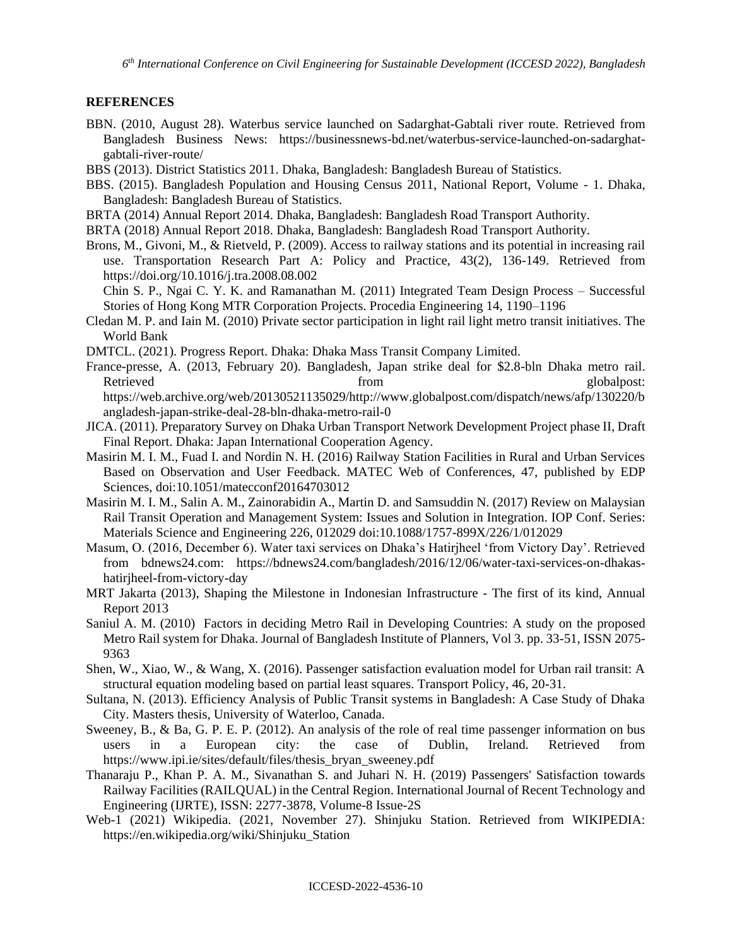### **REFERENCES**

- BBN. (2010, August 28). Waterbus service launched on Sadarghat-Gabtali river route. Retrieved from Bangladesh Business News: https://businessnews-bd.net/waterbus-service-launched-on-sadarghatgabtali-river-route/
- BBS (2013). District Statistics 2011. Dhaka, Bangladesh: Bangladesh Bureau of Statistics.
- BBS. (2015). Bangladesh Population and Housing Census 2011, National Report, Volume 1. Dhaka, Bangladesh: Bangladesh Bureau of Statistics.
- BRTA (2014) Annual Report 2014. Dhaka, Bangladesh: Bangladesh Road Transport Authority.
- BRTA (2018) Annual Report 2018. Dhaka, Bangladesh: Bangladesh Road Transport Authority.
- Brons, M., Givoni, M., & Rietveld, P. (2009). Access to railway stations and its potential in increasing rail use. Transportation Research Part A: Policy and Practice, 43(2), 136-149. Retrieved from https://doi.org/10.1016/j.tra.2008.08.002

Chin S. P., Ngai C. Y. K. and Ramanathan M. (2011) Integrated Team Design Process – Successful Stories of Hong Kong MTR Corporation Projects. Procedia Engineering 14, 1190–1196

- Cledan M. P. and Iain M. (2010) Private sector participation in light rail light metro transit initiatives. The World Bank
- DMTCL. (2021). Progress Report. Dhaka: Dhaka Mass Transit Company Limited.
- France-presse, A. (2013, February 20). Bangladesh, Japan strike deal for \$2.8-bln Dhaka metro rail. Retrieved from from globalpost: https://web.archive.org/web/20130521135029/http://www.globalpost.com/dispatch/news/afp/130220/b angladesh-japan-strike-deal-28-bln-dhaka-metro-rail-0
- JICA. (2011). Preparatory Survey on Dhaka Urban Transport Network Development Project phase II, Draft Final Report. Dhaka: Japan International Cooperation Agency.
- Masirin M. I. M., Fuad I. and Nordin N. H. (2016) Railway Station Facilities in Rural and Urban Services Based on Observation and User Feedback. MATEC Web of Conferences, 47, published by EDP Sciences, doi:10.1051/matecconf20164703012
- Masirin M. I. M., Salin A. M., Zainorabidin A., Martin D. and Samsuddin N. (2017) Review on Malaysian Rail Transit Operation and Management System: Issues and Solution in Integration. IOP Conf. Series: Materials Science and Engineering 226, 012029 doi:10.1088/1757-899X/226/1/012029
- Masum, O. (2016, December 6). Water taxi services on Dhaka's Hatirjheel 'from Victory Day'. Retrieved from bdnews24.com: https://bdnews24.com/bangladesh/2016/12/06/water-taxi-services-on-dhakashatirjheel-from-victory-day
- MRT Jakarta (2013), Shaping the Milestone in Indonesian Infrastructure The first of its kind, Annual Report 2013
- Saniul A. M. (2010) Factors in deciding Metro Rail in Developing Countries: A study on the proposed Metro Rail system for Dhaka. Journal of Bangladesh Institute of Planners, Vol 3. pp. 33-51, ISSN 2075- 9363
- Shen, W., Xiao, W., & Wang, X. (2016). Passenger satisfaction evaluation model for Urban rail transit: A structural equation modeling based on partial least squares. Transport Policy, 46, 20-31.
- Sultana, N. (2013). Efficiency Analysis of Public Transit systems in Bangladesh: A Case Study of Dhaka City. Masters thesis, University of Waterloo, Canada.
- Sweeney, B., & Ba, G. P. E. P. (2012). An analysis of the role of real time passenger information on bus users in a European city: the case of Dublin, Ireland. Retrieved from https://www.ipi.ie/sites/default/files/thesis\_bryan\_sweeney.pdf
- Thanaraju P., Khan P. A. M., Sivanathan S. and Juhari N. H. (2019) Passengers' Satisfaction towards Railway Facilities (RAILQUAL) in the Central Region. International Journal of Recent Technology and Engineering (IJRTE), ISSN: 2277-3878, Volume-8 Issue-2S
- Web-1 (2021) Wikipedia. (2021, November 27). Shinjuku Station. Retrieved from WIKIPEDIA: https://en.wikipedia.org/wiki/Shinjuku\_Station